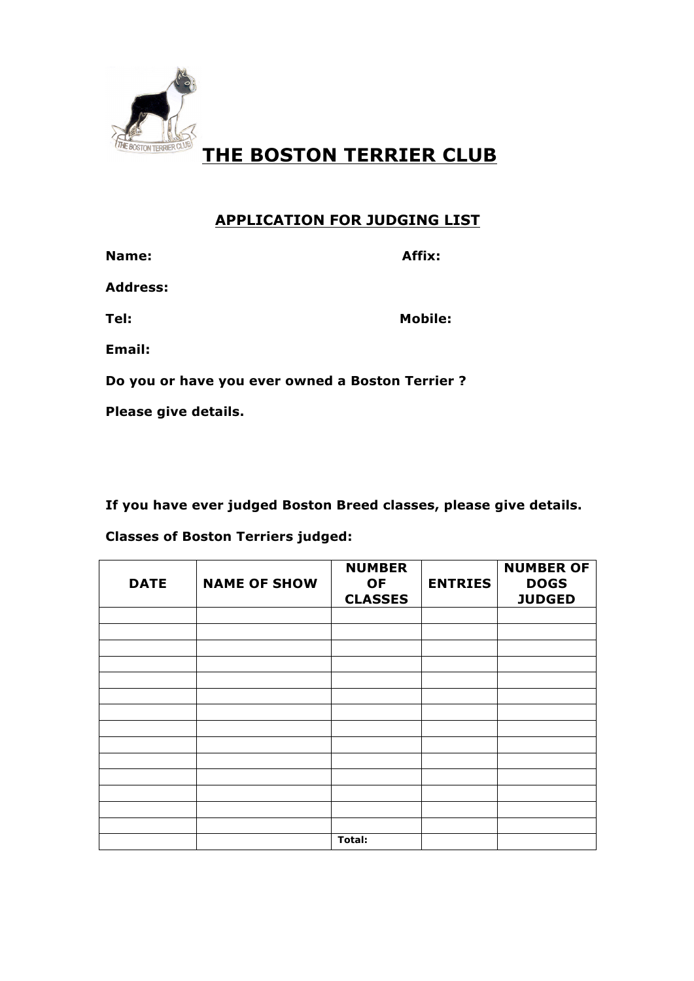

# **THE BOSTON TERRIER CLUB**

## **APPLICATION FOR JUDGING LIST**

| Name:                                           | Affix:  |  |  |
|-------------------------------------------------|---------|--|--|
| <b>Address:</b>                                 |         |  |  |
| Tel:                                            | Mobile: |  |  |
| Email:                                          |         |  |  |
| Do you or have you ever owned a Boston Terrier? |         |  |  |
| Please give details.                            |         |  |  |

**If you have ever judged Boston Breed classes, please give details.** 

## **Classes of Boston Terriers judged:**

| <b>DATE</b> | <b>NAME OF SHOW</b> | <b>NUMBER</b><br><b>OF</b><br><b>CLASSES</b> | <b>ENTRIES</b> | <b>NUMBER OF</b><br><b>DOGS</b><br><b>JUDGED</b> |
|-------------|---------------------|----------------------------------------------|----------------|--------------------------------------------------|
|             |                     |                                              |                |                                                  |
|             |                     |                                              |                |                                                  |
|             |                     |                                              |                |                                                  |
|             |                     |                                              |                |                                                  |
|             |                     |                                              |                |                                                  |
|             |                     |                                              |                |                                                  |
|             |                     |                                              |                |                                                  |
|             |                     |                                              |                |                                                  |
|             |                     |                                              |                |                                                  |
|             |                     |                                              |                |                                                  |
|             |                     |                                              |                |                                                  |
|             |                     |                                              |                |                                                  |
|             |                     |                                              |                |                                                  |
|             |                     |                                              |                |                                                  |
|             |                     | <b>Total:</b>                                |                |                                                  |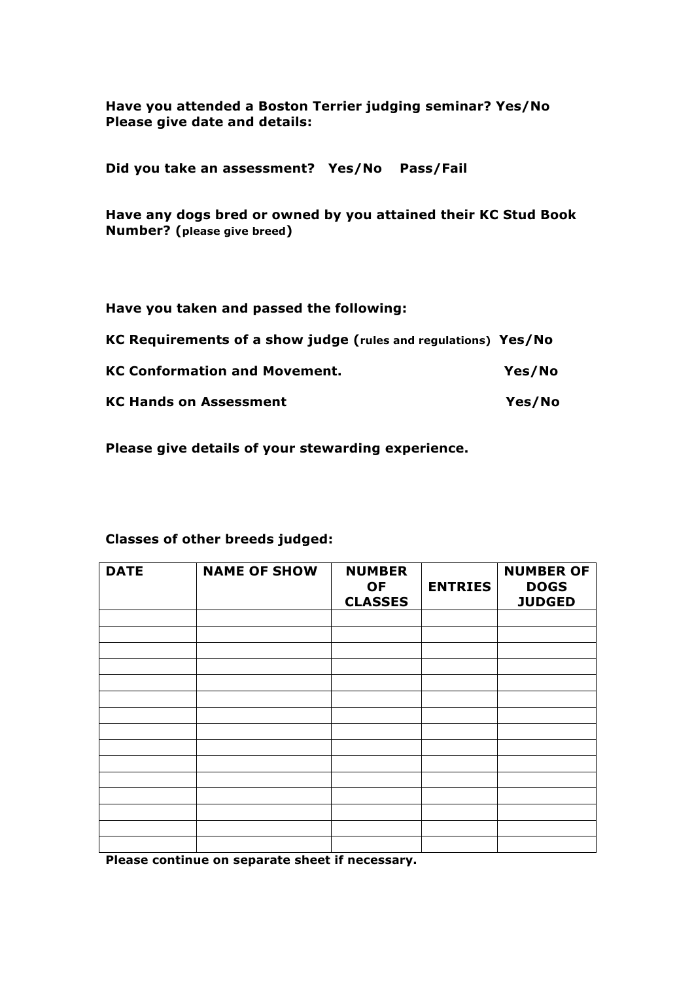**Have you attended a Boston Terrier judging seminar? Yes/No Please give date and details:**

**Did you take an assessment? Yes/No Pass/Fail**

**Have any dogs bred or owned by you attained their KC Stud Book Number? (please give breed)**

#### **Have you taken and passed the following:**

| KC Requirements of a show judge (rules and regulations) Yes/No |        |
|----------------------------------------------------------------|--------|
| <b>KC Conformation and Movement.</b>                           | Yes/No |
| <b>KC Hands on Assessment</b>                                  | Yes/No |

**Please give details of your stewarding experience.**

### **Classes of other breeds judged:**

| <b>DATE</b> | <b>NAME OF SHOW</b> | <b>NUMBER</b><br><b>OF</b><br><b>CLASSES</b> | <b>ENTRIES</b> | <b>NUMBER OF</b><br><b>DOGS</b><br><b>JUDGED</b> |
|-------------|---------------------|----------------------------------------------|----------------|--------------------------------------------------|
|             |                     |                                              |                |                                                  |
|             |                     |                                              |                |                                                  |
|             |                     |                                              |                |                                                  |
|             |                     |                                              |                |                                                  |
|             |                     |                                              |                |                                                  |
|             |                     |                                              |                |                                                  |
|             |                     |                                              |                |                                                  |
|             |                     |                                              |                |                                                  |
|             |                     |                                              |                |                                                  |
|             |                     |                                              |                |                                                  |
|             |                     |                                              |                |                                                  |
|             |                     |                                              |                |                                                  |
|             |                     |                                              |                |                                                  |
|             |                     |                                              |                |                                                  |
|             |                     |                                              |                |                                                  |

**Please continue on separate sheet if necessary.**